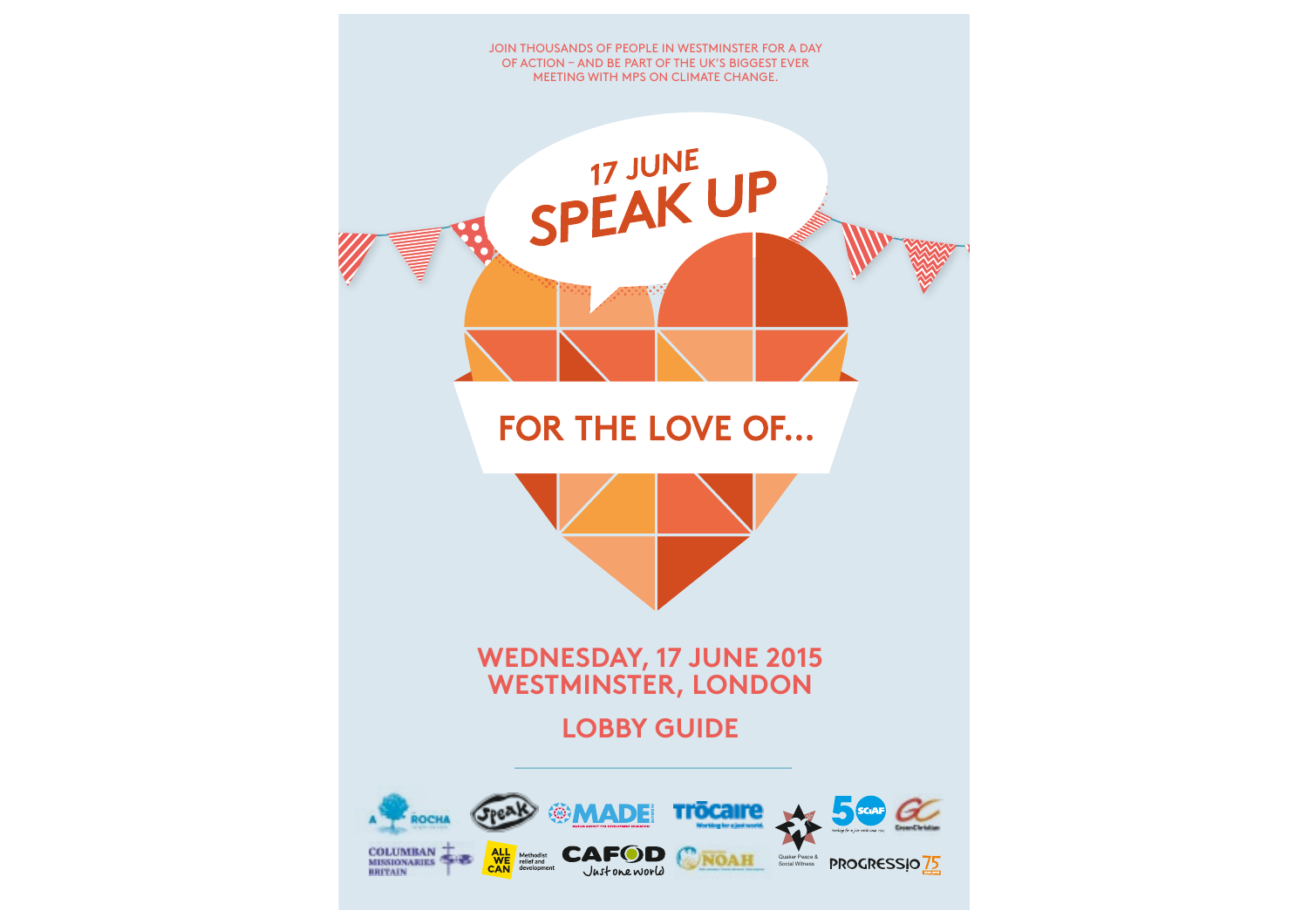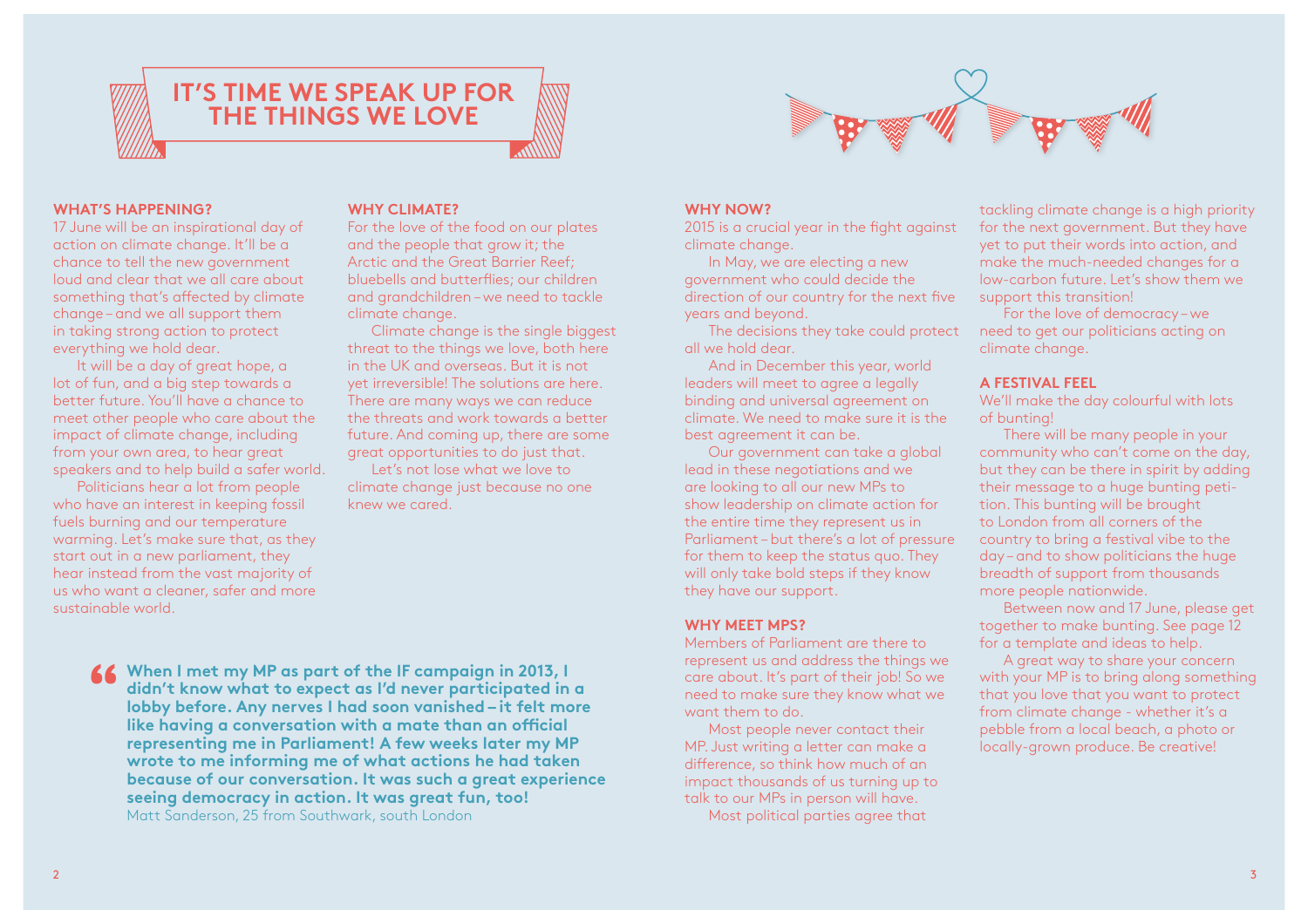

#### **WHAT'S HAPPENING?**

17 June will be an inspirational day of action on climate change. It'll be a chance to tell the new government loud and clear that we all care about something that's afected by climate change – and we all support them in taking strong action to protect everything we hold dear.

It will be a day of great hope, a lot of fun, and a big step towards a better future. You'll have a chance to meet other people who care about the impact of climate change, including from your own area, to hear great speakers and to help build a safer world.

Politicians hear a lot from people who have an interest in keeping fossil fuels burning and our temperature warming. Let's make sure that, as they start out in a new parliament, they hear instead from the vast majority of us who want a cleaner, safer and more sustainable world.

#### **WHY CLIMATE?**

For the love of the food on our plates and the people that grow it; the Arctic and the Great Barrier Reef; bluebells and butterfies; our children and grandchildren – we need to tackle climate change.

Climate change is the single biggest threat to the things we love, both here in the UK and overseas. But it is not yet irreversible! The solutions are here. There are many ways we can reduce the threats and work towards a better future. And coming up, there are some great opportunities to do just that.

Let's not lose what we love to climate change just because no one knew we cared.

**When I met my MP as part of the IF campaign in 2013, I didn't know what to expect as I'd never participated in a lobby before. Any nerves I had soon vanished – it felt more like having a conversation with a mate than an ofcial representing me in Parliament! A few weeks later my MP wrote to me informing me of what actions he had taken because of our conversation. It was such a great experience seeing democracy in action. It was great fun, too!** Matt Sanderson, 25 from Southwark, south London **"**



#### **WHY NOW?**

2015 is a crucial year in the fight against climate change.

In May, we are electing a new government who could decide the direction of our country for the next five years and beyond.

The decisions they take could protect all we hold dear.

And in December this year, world leaders will meet to agree a legally binding and universal agreement on climate. We need to make sure it is the best agreement it can be.

Our government can take a global lead in these negotiations and we are looking to all our new MPs to show leadership on climate action for the entire time they represent us in Parliament – but there's a lot of pressure for them to keep the status quo. They will only take bold steps if they know they have our support.

#### **WHY MEET MPS?**

Members of Parliament are there to represent us and address the things we care about. It's part of their job! So we need to make sure they know what we want them to do.

Most people never contact their MP. Just writing a letter can make a diference, so think how much of an impact thousands of us turning up to talk to our MPs in person will have.

Most political parties agree that

tackling climate change is a high priority for the next government. But they have yet to put their words into action, and make the much-needed changes for a low-carbon future. Let's show them we support this transition!

For the love of democracy – we need to get our politicians acting on climate change.

#### **A FESTIVAL FEEL**

We'll make the day colourful with lots of bunting!

There will be many people in your community who can't come on the day, but they can be there in spirit by adding their message to a huge bunting petition. This bunting will be brought to London from all corners of the country to bring a festival vibe to the day – and to show politicians the huge breadth of support from thousands more people nationwide.

Between now and 17 June, please get together to make bunting. See page 12 for a template and ideas to help.

A great way to share your concern with your MP is to bring along something that you love that you want to protect from climate change - whether it's a pebble from a local beach, a photo or locally-grown produce. Be creative!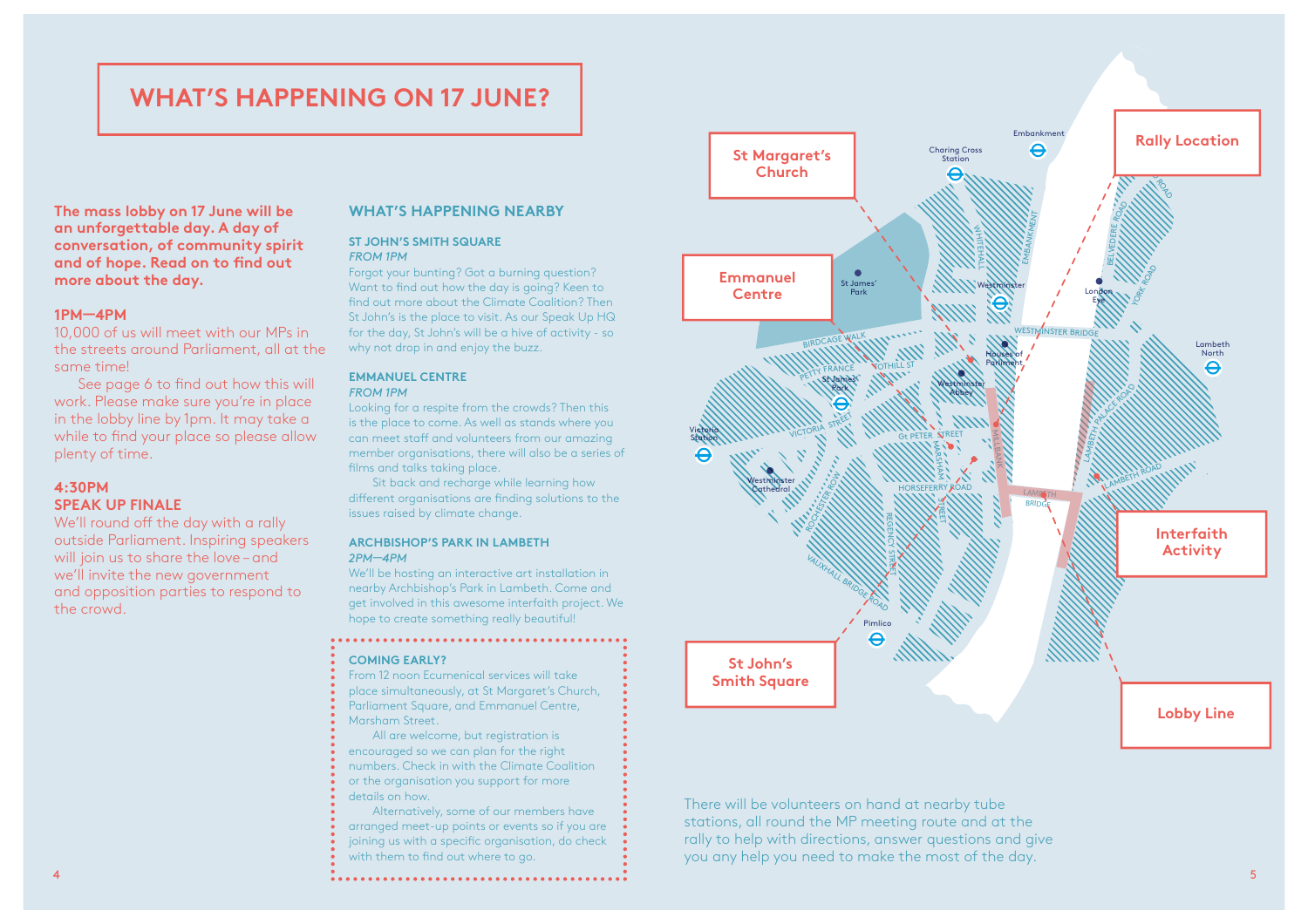### **WHAT'S HAPPENING ON 17 JUNE?**

**The mass lobby on 17 June will be an unforgettable day. A day of conversation, of community spirit and of hope. Read on to fnd out more about the day.**

#### **1PM—4PM**

10,000 of us will meet with our MPs in the streets around Parliament, all at the same time!

See page 6 to find out how this will work. Please make sure you're in place in the lobby line by 1pm. It may take a while to find your place so please allow plenty of time.

#### **4:30PM SPEAK UP FINALE**

We'll round off the day with a rally outside Parliament. Inspiring speakers will join us to share the love – and we'll invite the new government and opposition parties to respond to the crowd.

#### **WHAT'S HAPPENING NEARBY**

#### **ST JOHN'S SMITH SQUARE**  *FROM 1PM*

Forgot your bunting? Got a burning question? Want to find out how the day is going? Keen to find out more about the Climate Coalition? Then St John's is the place to visit. As our Speak Up HQ for the day, St John's will be a hive of activity - so why not drop in and enjoy the buzz.

#### **EMMANUEL CENTRE**  *FROM 1PM*

Looking for a respite from the crowds? Then this is the place to come. As well as stands where you can meet staff and volunteers from our amazing member organisations, there will also be a series of films and talks taking place.

Sit back and recharge while learning how diferent organisations are fnding solutions to the issues raised by climate change.

#### **ARCHBISHOP'S PARK IN LAMBETH**  *2PM—4PM*

We'll be hosting an interactive art installation in nearby Archbishop's Park in Lambeth. Come and get involved in this awesome interfaith project. We hope to create something really beautiful!

#### **COMING EARLY?**

From 12 noon Ecumenical services will take place simultaneously, at St Margaret's Church, Parliament Square, and Emmanuel Centre, Marsham Street.

All are welcome, but registration is encouraged so we can plan for the right numbers. Check in with the Climate Coalition or the organisation you support for more details on how.

Alternatively, some of our members have arranged meet-up points or events so if you are joining us with a specific organisation, do check with them to find out where to go.



There will be volunteers on hand at nearby tube stations, all round the MP meeting route and at the rally to help with directions, answer questions and give you any help you need to make the most of the day.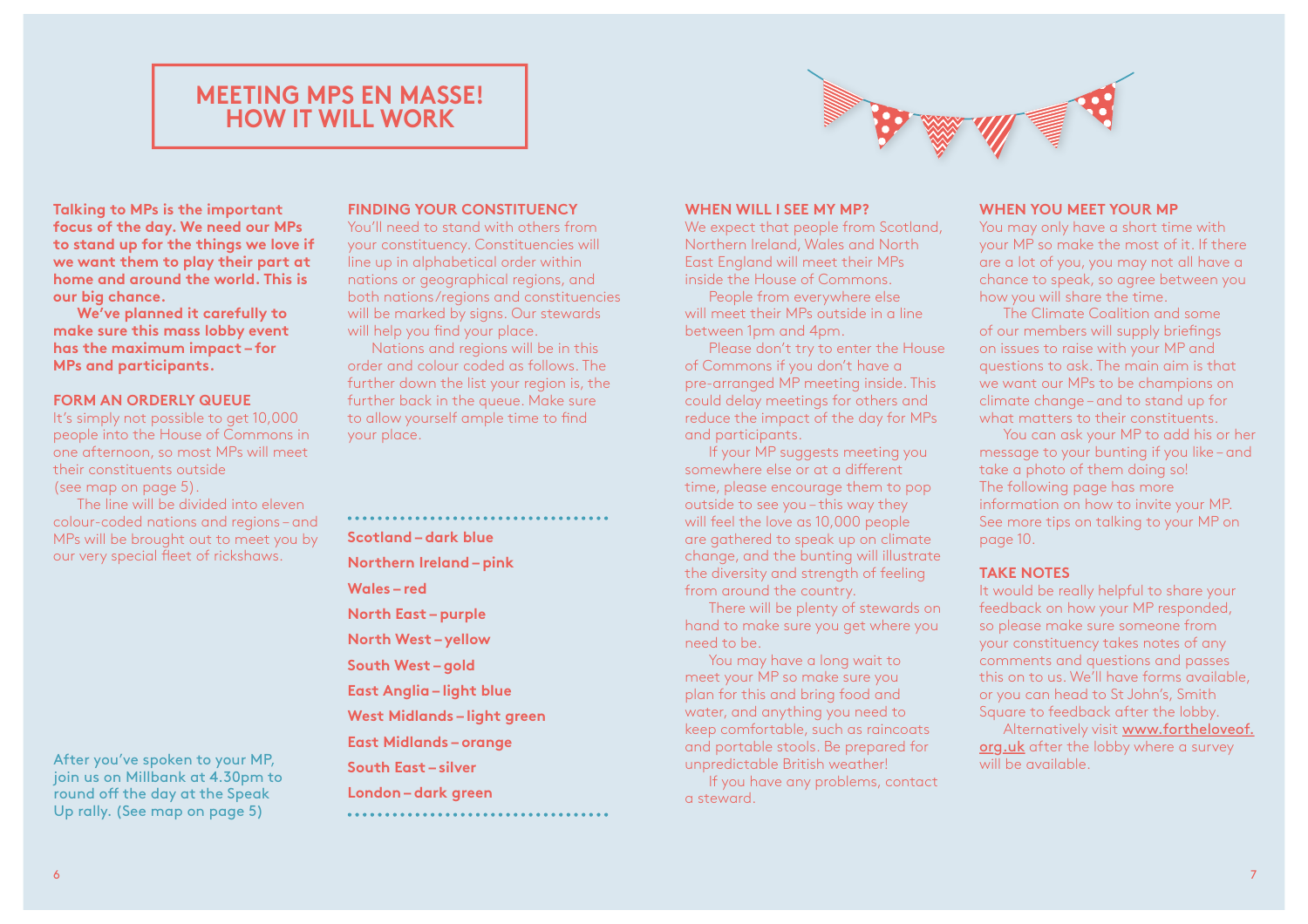### **MEETING MPS EN MASSE! HOW IT WILL WORK**



**Talking to MPs is the important focus of the day. We need our MPs to stand up for the things we love if we want them to play their part at home and around the world. This is our big chance.**

**We've planned it carefully to make sure this mass lobby event has the maximum impact – for MPs and participants.**

#### **FORM AN ORDERLY QUEUE**

It's simply not possible to get 10,000 people into the House of Commons in one afternoon, so most MPs will meet their constituents outside (see map on page 5).

The line will be divided into eleven colour-coded nations and regions – and MPs will be brought out to meet you by our very special fleet of rickshaws.

After you've spoken to your MP, join us on Millbank at 4.30pm to round off the day at the Speak Up rally. (See map on page 5)

#### **FINDING YOUR CONSTITUENCY**

You'll need to stand with others from your constituency. Constituencies will line up in alphabetical order within nations or geographical regions, and both nations/regions and constituencies will be marked by signs. Our stewards will help you find your place.

Nations and regions will be in this order and colour coded as follows. The further down the list your region is, the further back in the queue. Make sure to allow yourself ample time to find your place.

**Scotland – dark blue Northern Ireland – pink Wales – red North East – purple North West – yellow South West – gold East Anglia – light blue West Midlands – light green East Midlands – orange South East – silver London – dark green** 

#### **WHEN WILL I SEE MY MP?**

We expect that people from Scotland, Northern Ireland, Wales and North East England will meet their MPs inside the House of Commons.

People from everywhere else will meet their MPs outside in a line between 1pm and 4pm.

Please don't try to enter the House of Commons if you don't have a pre-arranged MP meeting inside. This could delay meetings for others and reduce the impact of the day for MPs and participants.

If your MP suggests meeting you somewhere else or at a diferent time, please encourage them to pop outside to see you – this way they will feel the love as 10,000 people are gathered to speak up on climate change, and the bunting will illustrate the diversity and strength of feeling from around the country.

There will be plenty of stewards on hand to make sure you get where you need to be.

You may have a long wait to meet your MP so make sure you plan for this and bring food and water, and anything you need to keep comfortable, such as raincoats and portable stools. Be prepared for unpredictable British weather!

If you have any problems, contact a steward.

#### **WHEN YOU MEET YOUR MP**

You may only have a short time with your MP so make the most of it. If there are a lot of you, you may not all have a chance to speak, so agree between you how you will share the time.

The Climate Coalition and some of our members will supply briefngs on issues to raise with your MP and questions to ask. The main aim is that we want our MPs to be champions on climate change – and to stand up for what matters to their constituents.

You can ask your MP to add his or her message to your bunting if you like – and take a photo of them doing so! The following page has more information on how to invite your MP. See more tips on talking to your MP on page 10.

#### **TAKE NOTES**

It would be really helpful to share your feedback on how your MP responded, so please make sure someone from your constituency takes notes of any comments and questions and passes this on to us. We'll have forms available, or you can head to St John's, Smith Square to feedback after the lobby.

Alternatively visit www.fortheloveof. org.uk after the lobby where a survey will be available.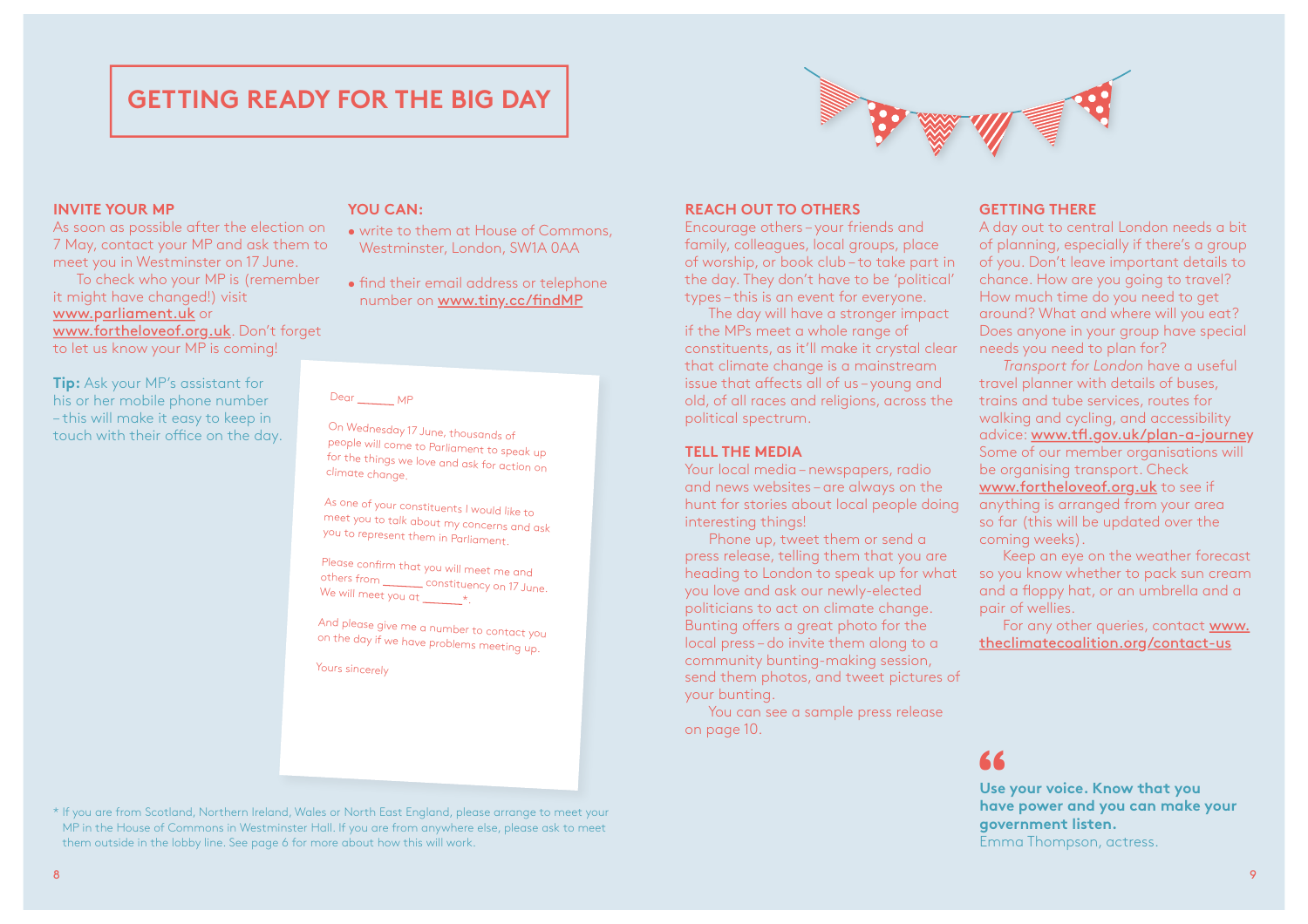### **GETTING READY FOR THE BIG DAY**



#### **INVITE YOUR MP**

As soon as possible after the election on 7 May, contact your MP and ask them to meet you in Westminster on 17 June.

To check who your MP is (remember it might have changed!) visit www.parliament.uk or www.fortheloveof.org.uk. Don't forget to let us know your MP is coming!

**Tip:** Ask your MP's assistant for his or her mobile phone number – this will make it easy to keep in touch with their office on the day.

#### **YOU CAN:**

- write to them at House of Commons, Westminster, London, SW1A 0AA
- find their email address or telephone number on www.tiny.cc/fndMP

#### Dear MP

On Wednesday 17 June, thousands of people will come to Parliament to speak up for the things we love and ask for action on climate change.

As one of your constituents I would like to meet you to talk about my concerns and ask you to represent them in Parliament.

Please confirm that you will meet me and others from **constituency on 17 June**. We will meet you at  $\_\_\_\ast$ .

And please give me a number to contact you on the day if we have problems meeting up.

Yours sincerely

\* If you are from Scotland, Northern Ireland, Wales or North East England, please arrange to meet your MP in the House of Commons in Westminster Hall. If you are from anywhere else, please ask to meet them outside in the lobby line. See page 6 for more about how this will work.

#### **REACH OUT TO OTHERS**

Encourage others – your friends and family, colleagues, local groups, place of worship, or book club – to take part in the day. They don't have to be 'political' types – this is an event for everyone.

The day will have a stronger impact if the MPs meet a whole range of constituents, as it'll make it crystal clear that climate change is a mainstream issue that affects all of us-young and old, of all races and religions, across the political spectrum.

#### **TELL THE MEDIA**

Your local media – newspapers, radio and news websites – are always on the hunt for stories about local people doing interesting things!

Phone up, tweet them or send a press release, telling them that you are heading to London to speak up for what you love and ask our newly-elected politicians to act on climate change. Bunting offers a great photo for the local press – do invite them along to a community bunting-making session, send them photos, and tweet pictures of your bunting.

You can see a sample press release on page 10.

#### **GETTING THERE** A day out to central London needs a bit

of planning, especially if there's a group of you. Don't leave important details to chance. How are you going to travel? How much time do you need to get around? What and where will you eat? Does anyone in your group have special needs you need to plan for?

*Transport for London* have a useful travel planner with details of buses, trains and tube services, routes for walking and cycling, and accessibility advice: www.tfl.gov.uk/plan-a-journey Some of our member organisations will be organising transport. Check www.fortheloveof.org.uk to see if anything is arranged from your area so far (this will be updated over the coming weeks).

Keep an eye on the weather forecast so you know whether to pack sun cream and a foppy hat, or an umbrella and a pair of wellies.

For any other queries, contact www. theclimatecoalition.org/contact-us

## **"**

**Use your voice. Know that you have power and you can make your government listen.** Emma Thompson, actress.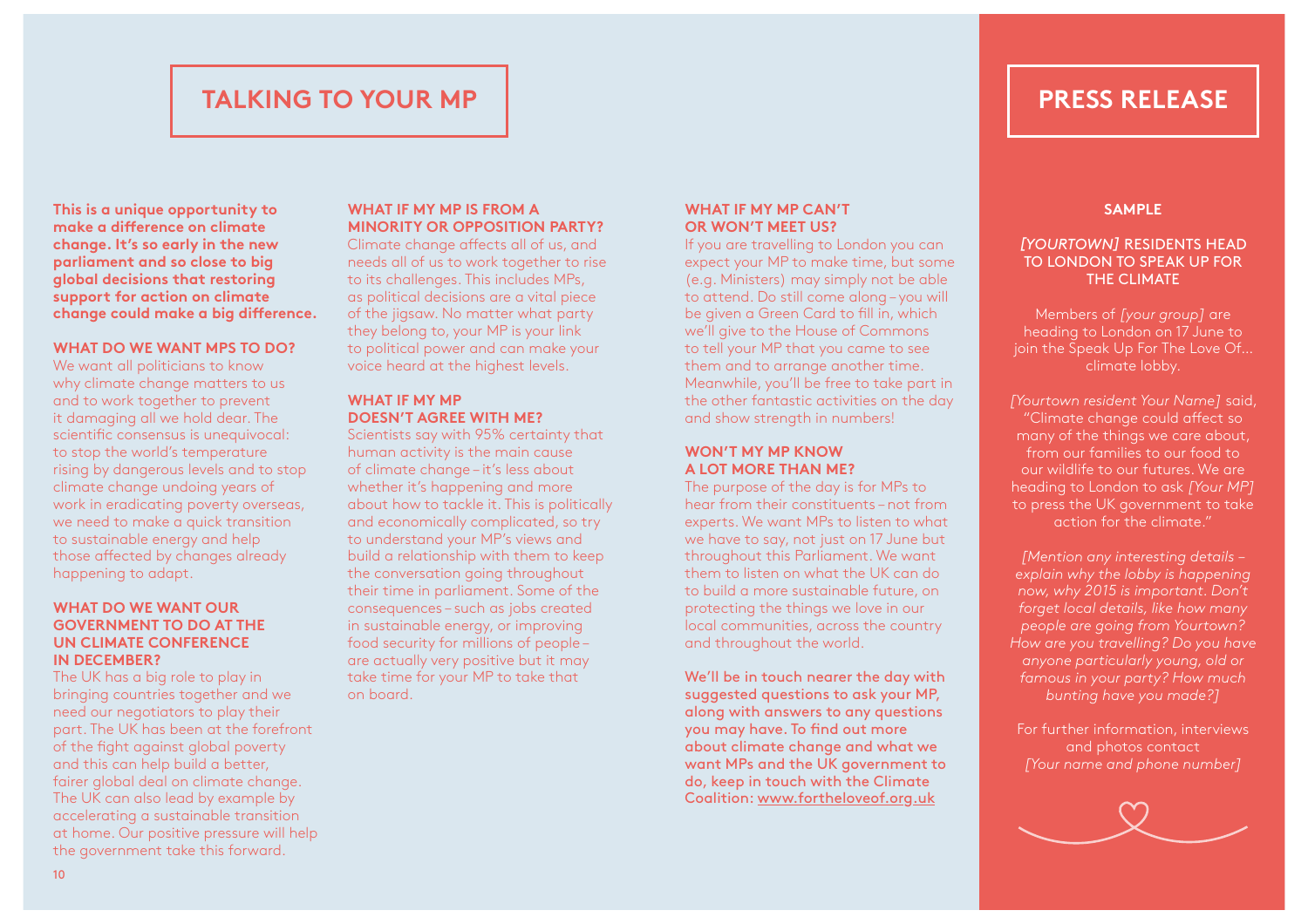## **PRESS RELEASE**

### **TALKING TO YOUR MP**

**This is a unique opportunity to make a diference on climate change. It's so early in the new parliament and so close to big global decisions that restoring support for action on climate change could make a big diference.** 

#### **WHAT DO WE WANT MPS TO DO?**

We want all politicians to know why climate change matters to us and to work together to prevent it damaging all we hold dear. The scientific consensus is unequivocal: to stop the world's temperature rising by dangerous levels and to stop climate change undoing years of work in eradicating poverty overseas, we need to make a quick transition to sustainable energy and help those afected by changes already happening to adapt.

#### **WHAT DO WE WANT OUR GOVERNMENT TO DO AT THE UN CLIMATE CONFERENCE IN DECEMBER?**

The UK has a big role to play in bringing countries together and we need our negotiators to play their part. The UK has been at the forefront of the fight against global poverty and this can help build a better, fairer global deal on climate change. The UK can also lead by example by accelerating a sustainable transition at home. Our positive pressure will help the government take this forward.

#### **WHAT IF MY MP IS FROM A MINORITY OR OPPOSITION PARTY?**

Climate change afects all of us, and needs all of us to work together to rise to its challenges. This includes MPs, as political decisions are a vital piece of the jigsaw. No matter what party they belong to, your MP is your link to political power and can make your voice heard at the highest levels.

#### **WHAT IF MY MP DOESN'T AGREE WITH ME?**

Scientists say with 95% certainty that human activity is the main cause of climate change – it's less about whether it's happening and more about how to tackle it. This is politically and economically complicated, so try to understand your MP's views and build a relationship with them to keep the conversation going throughout their time in parliament. Some of the consequences – such as jobs created in sustainable energy, or improving food security for millions of people – are actually very positive but it may take time for your MP to take that on board.

#### **WHAT IF MY MP CAN'T OR WON'T MEET US?**

If you are travelling to London you can expect your MP to make time, but some (e.g. Ministers) may simply not be able to attend. Do still come along – you will be given a Green Card to fll in, which we'll give to the House of Commons to tell your MP that you came to see them and to arrange another time. Meanwhile, you'll be free to take part in the other fantastic activities on the day and show strength in numbers!

#### **WON'T MY MP KNOW A LOT MORE THAN ME?**

The purpose of the day is for MPs to hear from their constituents – not from experts. We want MPs to listen to what we have to say, not just on 17 June but throughout this Parliament. We want them to listen on what the UK can do to build a more sustainable future, on protecting the things we love in our local communities, across the country and throughout the world.

We'll be in touch nearer the day with suggested questions to ask your MP, along with answers to any questions you may have. To find out more about climate change and what we want MPs and the UK government to do, keep in touch with the Climate Coalition: www.fortheloveof.org.uk

#### **SAMPLE**

#### *[YOURTOWN]* RESIDENTS HEAD TO LONDON TO SPEAK UP FOR THE CLIMATE

Members of *[your group]* are heading to London on 17 June to join the Speak Up For The Love Of… climate lobby.

*[Yourtown resident Your Name]* said, "Climate change could afect so many of the things we care about, from our families to our food to our wildlife to our futures. We are heading to London to ask *[Your MP]*  to press the UK government to take action for the climate."

*[Mention any interesting details – explain why the lobby is happening now, why 2015 is important. Don't forget local details, like how many people are going from Yourtown? How are you travelling? Do you have anyone particularly young, old or famous in your party? How much bunting have you made?]*

For further information, interviews and photos contact *[Your name and phone number]*

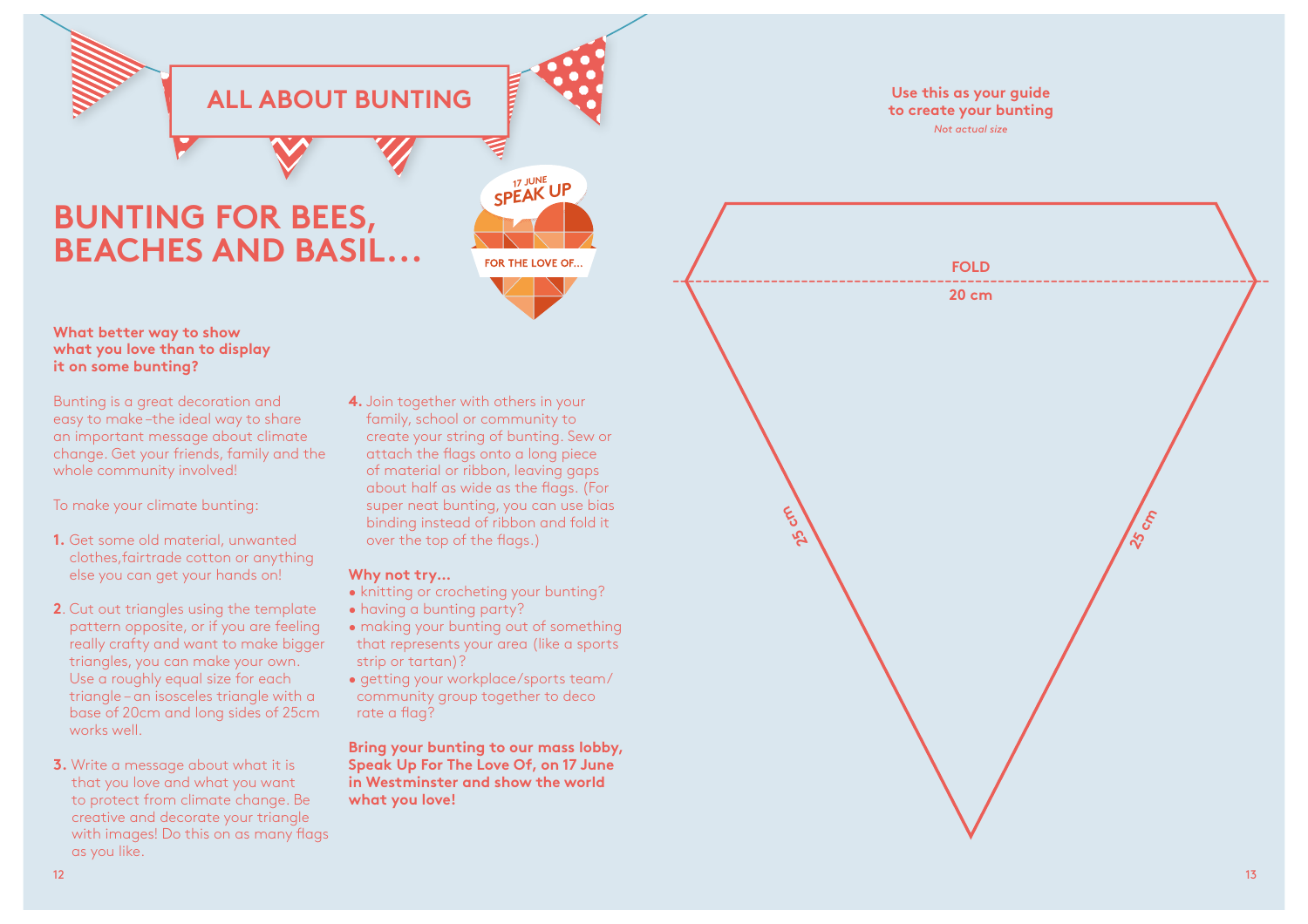

# **BUNTING FOR BEES, BEACHES AND BASIL**

#### **What better way to show what you love than to display it on some bunting?**

Bunting is a great decoration and easy to make –the ideal way to share an important message about climate change. Get your friends, family and the whole community involved!

To make your climate bunting:

- **1.** Get some old material, unwanted clothes,fairtrade cotton or anything else you can get your hands on!
- **2**. Cut out triangles using the template pattern opposite, or if you are feeling really crafty and want to make bigger triangles, you can make your own. Use a roughly equal size for each triangle – an isosceles triangle with a base of 20cm and long sides of 25cm works well.
- **3.** Write a message about what it is that you love and what you want to protect from climate change. Be creative and decorate your triangle with images! Do this on as many flags as you like.

**4.** Join together with others in your family, school or community to create your string of bunting. Sew or attach the fags onto a long piece of material or ribbon, leaving gaps about half as wide as the fags. (For super neat bunting, you can use bias binding instead of ribbon and fold it over the top of the fags.)

*SPEAK UP 17 JUNE*

FOR THE LOVE OF...

#### **Why not try…**

- knitting or crocheting your bunting?
- having a bunting party?
- making your bunting out of something that represents your area (like a sports strip or tartan)?
- getting your workplace/sports team/ community group together to deco rate a flag?

**Bring your bunting to our mass lobby, Speak Up For The Love Of, on 17 June in Westminster and show the world what you love!**

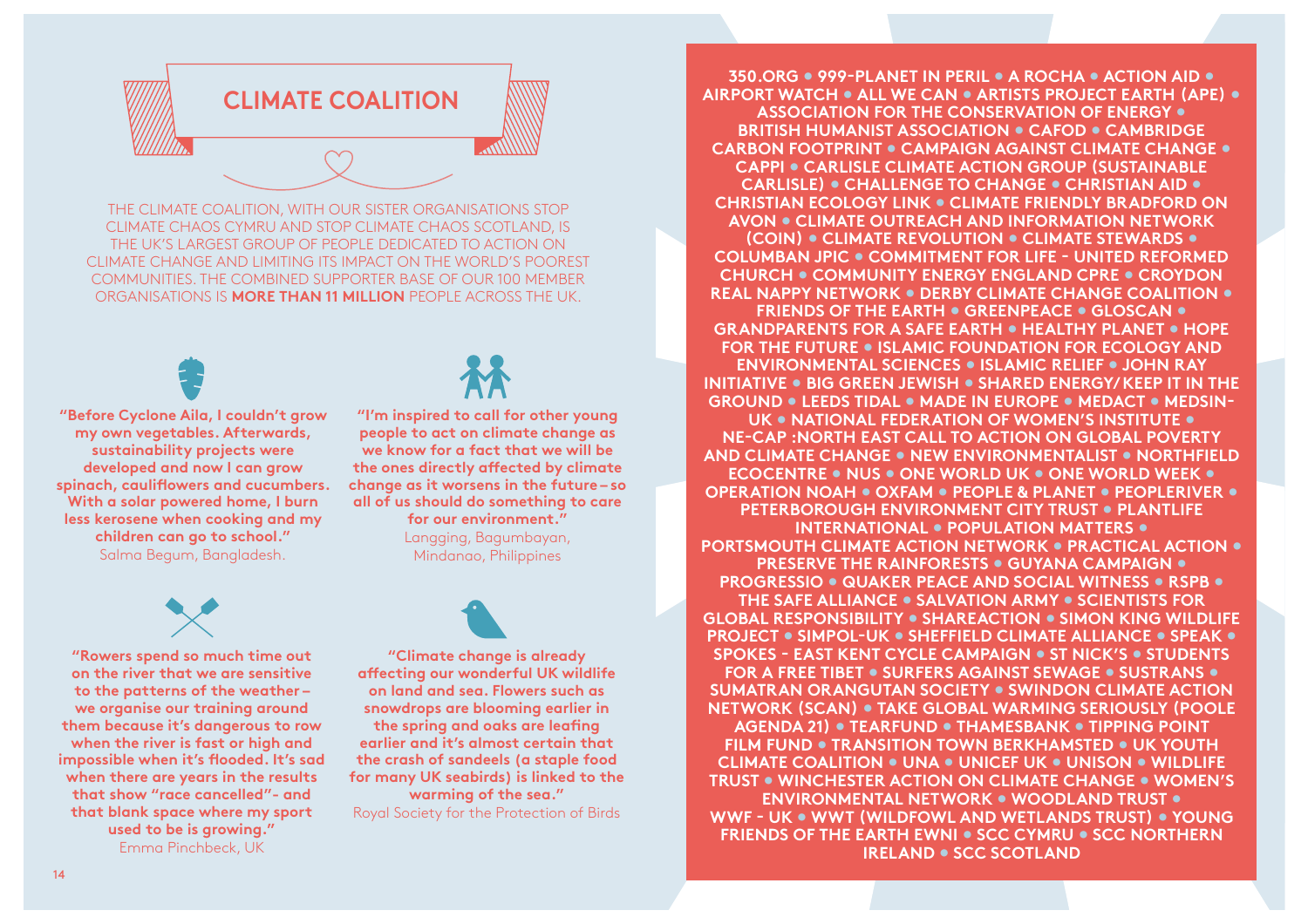

THE CLIMATE COALITION, WITH OUR SISTER ORGANISATIONS STOP CLIMATE CHAOS CYMRU AND STOP CLIMATE CHAOS SCOTLAND, IS THE UK'S LARGEST GROUP OF PEOPLE DEDICATED TO ACTION ON CLIMATE CHANGE AND LIMITING ITS IMPACT ON THE WORLD'S POOREST COMMUNITIES. THE COMBINED SUPPORTER BASE OF OUR 100 MEMBER ORGANISATIONS IS **MORE THAN 11 MILLION** PEOPLE ACROSS THE UK.

**"Before Cyclone Aila, I couldn't grow my own vegetables. Afterwards, sustainability projects were developed and now I can grow spinach, caulifowers and cucumbers. With a solar powered home, I burn less kerosene when cooking and my children can go to school."**  Salma Begum, Bangladesh.



**"I'm inspired to call for other young people to act on climate change as we know for a fact that we will be the ones directly afected by climate change as it worsens in the future – so all of us should do something to care for our environment."** Langging, Bagumbayan, Mindanao, Philippines



**"Rowers spend so much time out on the river that we are sensitive to the patterns of the weather – we organise our training around them because it's dangerous to row when the river is fast or high and impossible when it's fooded. It's sad when there are years in the results that show "race cancelled"- and that blank space where my sport used to be is growing."**  Emma Pinchbeck, UK

**"Climate change is already afecting our wonderful UK wildlife on land and sea. Flowers such as snowdrops are blooming earlier in the spring and oaks are leafng earlier and it's almost certain that the crash of sandeels (a staple food for many UK seabirds) is linked to the warming of the sea."** Royal Society for the Protection of Birds

**350.ORG • 999-PLANET IN PERIL • A ROCHA • ACTION AID • AIRPORT WATCH • ALL WE CAN • ARTISTS PROJECT EARTH (APE) • ASSOCIATION FOR THE CONSERVATION OF ENERGY • BRITISH HUMANIST ASSOCIATION • CAFOD • CAMBRIDGE CARBON FOOTPRINT • CAMPAIGN AGAINST CLIMATE CHANGE • CAPPI • CARLISLE CLIMATE ACTION GROUP (SUSTAINABLE CARLISLE) • CHALLENGE TO CHANGE • CHRISTIAN AID • CHRISTIAN ECOLOGY LINK • CLIMATE FRIENDLY BRADFORD ON AVON • CLIMATE OUTREACH AND INFORMATION NETWORK (COIN) • CLIMATE REVOLUTION • CLIMATE STEWARDS • COLUMBAN JPIC • COMMITMENT FOR LIFE - UNITED REFORMED CHURCH • COMMUNITY ENERGY ENGLAND CPRE • CROYDON REAL NAPPY NETWORK • DERBY CLIMATE CHANGE COALITION • FRIENDS OF THE EARTH • GREENPEACE • GLOSCAN • GRANDPARENTS FOR A SAFE EARTH • HEALTHY PLANET • HOPE FOR THE FUTURE • ISLAMIC FOUNDATION FOR ECOLOGY AND ENVIRONMENTAL SCIENCES • ISLAMIC RELIEF • JOHN RAY INITIATIVE • BIG GREEN JEWISH • SHARED ENERGY/ KEEP IT IN THE GROUND • LEEDS TIDAL • MADE IN EUROPE • MEDACT • MEDSIN-UK • NATIONAL FEDERATION OF WOMEN'S INSTITUTE • NE-CAP :NORTH EAST CALL TO ACTION ON GLOBAL POVERTY AND CLIMATE CHANGE • NEW ENVIRONMENTALIST • NORTHFIELD ECOCENTRE • NUS • ONE WORLD UK • ONE WORLD WEEK • OPERATION NOAH • OXFAM • PEOPLE & PLANET • PEOPLERIVER • PETERBOROUGH ENVIRONMENT CITY TRUST • PLANTLIFE INTERNATIONAL • POPULATION MATTERS • PORTSMOUTH CLIMATE ACTION NETWORK • PRACTICAL ACTION • PRESERVE THE RAINFORESTS • GUYANA CAMPAIGN • PROGRESSIO • QUAKER PEACE AND SOCIAL WITNESS • RSPB • THE SAFE ALLIANCE • SALVATION ARMY • SCIENTISTS FOR GLOBAL RESPONSIBILITY • SHAREACTION • SIMON KING WILDLIFE PROJECT • SIMPOL-UK • SHEFFIELD CLIMATE ALLIANCE • SPEAK • SPOKES - EAST KENT CYCLE CAMPAIGN • ST NICK'S • STUDENTS FOR A FREE TIBET • SURFERS AGAINST SEWAGE • SUSTRANS • SUMATRAN ORANGUTAN SOCIETY • SWINDON CLIMATE ACTION NETWORK (SCAN) • TAKE GLOBAL WARMING SERIOUSLY (POOLE AGENDA 21) • TEARFUND • THAMESBANK • TIPPING POINT FILM FUND • TRANSITION TOWN BERKHAMSTED • UK YOUTH CLIMATE COALITION • UNA • UNICEF UK • UNISON • WILDLIFE TRUST • WINCHESTER ACTION ON CLIMATE CHANGE • WOMEN'S ENVIRONMENTAL NETWORK • WOODLAND TRUST • WWF - UK • WWT (WILDFOWL AND WETLANDS TRUST) • YOUNG FRIENDS OF THE EARTH EWNI • SCC CYMRU • SCC NORTHERN IRELAND • SCC SCOTLAND**

15